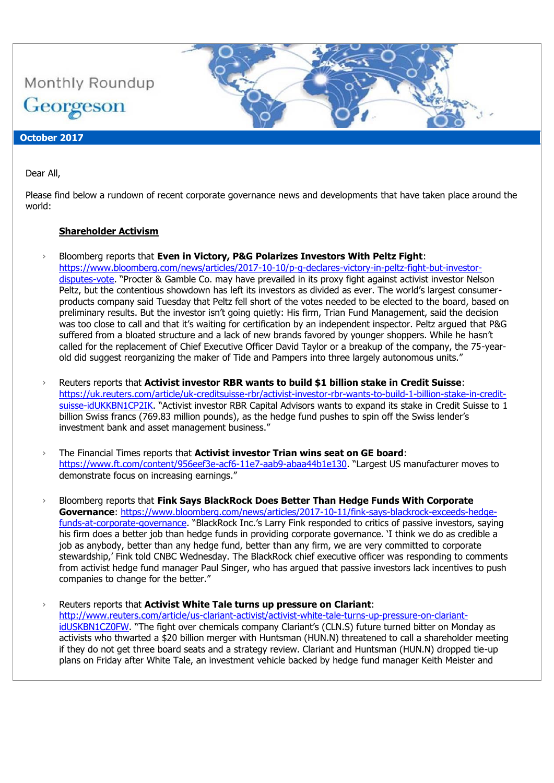

#### Dear All,

Please find below a rundown of recent corporate governance news and developments that have taken place around the world:

#### **Shareholder Activism**

- › Bloomberg reports that **Even in Victory, P&G Polarizes Investors With Peltz Fight**: [https://www.bloomberg.com/news/articles/2017-10-10/p-g-declares-victory-in-peltz-fight-but-investor](https://www.bloomberg.com/news/articles/2017-10-10/p-g-declares-victory-in-peltz-fight-but-investor-disputes-vote)[disputes-vote](https://www.bloomberg.com/news/articles/2017-10-10/p-g-declares-victory-in-peltz-fight-but-investor-disputes-vote). "Procter & Gamble Co. may have prevailed in its proxy fight against activist investor Nelson Peltz, but the contentious showdown has left its investors as divided as ever. The world's largest consumerproducts company said Tuesday that Peltz fell short of the votes needed to be elected to the board, based on preliminary results. But the investor isn't going quietly: His firm, Trian Fund Management, said the decision was too close to call and that it's waiting for certification by an independent inspector. Peltz argued that P&G suffered from a bloated structure and a lack of new brands favored by younger shoppers. While he hasn't called for the replacement of Chief Executive Officer David Taylor or a breakup of the company, the 75-yearold did suggest reorganizing the maker of Tide and Pampers into three largely autonomous units."
- › Reuters reports that **Activist investor RBR wants to build \$1 billion stake in Credit Suisse**: [https://uk.reuters.com/article/uk-creditsuisse-rbr/activist-investor-rbr-wants-to-build-1-billion-stake-in-credit](https://uk.reuters.com/article/uk-creditsuisse-rbr/activist-investor-rbr-wants-to-build-1-billion-stake-in-credit-suisse-idUKKBN1CP2IK)[suisse-idUKKBN1CP2IK](https://uk.reuters.com/article/uk-creditsuisse-rbr/activist-investor-rbr-wants-to-build-1-billion-stake-in-credit-suisse-idUKKBN1CP2IK). "Activist investor RBR Capital Advisors wants to expand its stake in Credit Suisse to 1 billion Swiss francs (769.83 million pounds), as the hedge fund pushes to spin off the Swiss lender's investment bank and asset management business."
- › The Financial Times reports that **Activist investor Trian wins seat on GE board**: <https://www.ft.com/content/956eef3e-acf6-11e7-aab9-abaa44b1e130>. "Largest US manufacturer moves to demonstrate focus on increasing earnings."
- › Bloomberg reports that **Fink Says BlackRock Does Better Than Hedge Funds With Corporate Governance**: [https://www.bloomberg.com/news/articles/2017-10-11/fink-says-blackrock-exceeds-hedge](https://www.bloomberg.com/news/articles/2017-10-11/fink-says-blackrock-exceeds-hedge-funds-at-corporate-governance)[funds-at-corporate-governance](https://www.bloomberg.com/news/articles/2017-10-11/fink-says-blackrock-exceeds-hedge-funds-at-corporate-governance). "BlackRock Inc.'s Larry Fink responded to critics of passive investors, saying his firm does a better job than hedge funds in providing corporate governance. 'I think we do as credible a job as anybody, better than any hedge fund, better than any firm, we are very committed to corporate stewardship,' Fink told CNBC Wednesday. The BlackRock chief executive officer was responding to comments from activist hedge fund manager Paul Singer, who has argued that passive investors lack incentives to push companies to change for the better."
- › Reuters reports that **Activist White Tale turns up pressure on Clariant**: [http://www.reuters.com/article/us-clariant-activist/activist-white-tale-turns-up-pressure-on-clariant](http://www.reuters.com/article/us-clariant-activist/activist-white-tale-turns-up-pressure-on-clariant-idUSKBN1CZ0FW)[idUSKBN1CZ0FW](http://www.reuters.com/article/us-clariant-activist/activist-white-tale-turns-up-pressure-on-clariant-idUSKBN1CZ0FW). "The fight over chemicals company Clariant's (CLN.S) future turned bitter on Monday as activists who thwarted a \$20 billion merger with Huntsman (HUN.N) threatened to call a shareholder meeting if they do not get three board seats and a strategy review. Clariant and Huntsman (HUN.N) dropped tie-up plans on Friday after White Tale, an investment vehicle backed by hedge fund manager Keith Meister and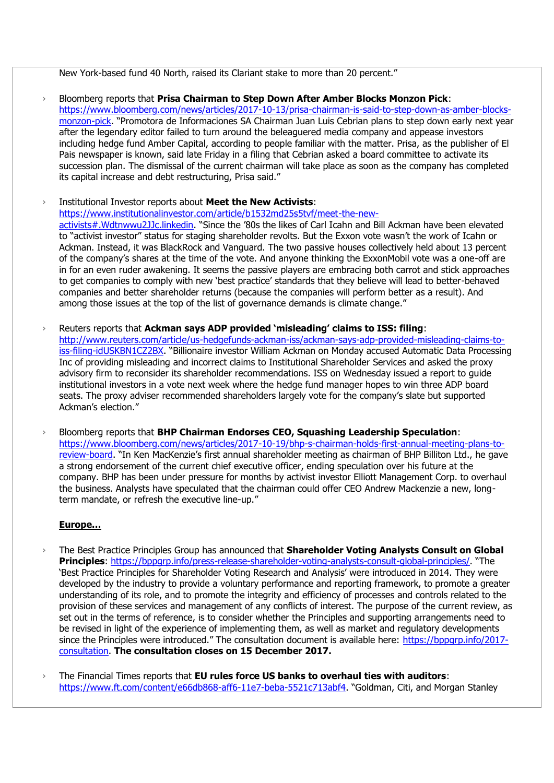New York-based fund 40 North, raised its Clariant stake to more than 20 percent."

› Bloomberg reports that **Prisa Chairman to Step Down After Amber Blocks Monzon Pick**: [https://www.bloomberg.com/news/articles/2017-10-13/prisa-chairman-is-said-to-step-down-as-amber-blocks](https://www.bloomberg.com/news/articles/2017-10-13/prisa-chairman-is-said-to-step-down-as-amber-blocks-monzon-pick)[monzon-pick](https://www.bloomberg.com/news/articles/2017-10-13/prisa-chairman-is-said-to-step-down-as-amber-blocks-monzon-pick). "Promotora de Informaciones SA Chairman Juan Luis Cebrian plans to step down early next year after the legendary editor failed to turn around the beleaguered media company and appease investors including hedge fund Amber Capital, according to people familiar with the matter. Prisa, as the publisher of El Pais newspaper is known, said late Friday in a filing that Cebrian asked a board committee to activate its succession plan. The dismissal of the current chairman will take place as soon as the company has completed its capital increase and debt restructuring, Prisa said."

#### › Institutional Investor reports about **Meet the New Activists**:

[https://www.institutionalinvestor.com/article/b1532md25s5tvf/meet-the-new-](https://www.institutionalinvestor.com/article/b1532md25s5tvf/meet-the-new-activists#.Wdtnwwu2JJc.linkedin)

[activists#.Wdtnwwu2JJc.linkedin](https://www.institutionalinvestor.com/article/b1532md25s5tvf/meet-the-new-activists#.Wdtnwwu2JJc.linkedin). "Since the '80s the likes of Carl Icahn and Bill Ackman have been elevated to "activist investor" status for staging shareholder revolts. But the Exxon vote wasn't the work of Icahn or Ackman. Instead, it was BlackRock and Vanguard. The two passive houses collectively held about 13 percent of the company's shares at the time of the vote. And anyone thinking the ExxonMobil vote was a one-off are in for an even ruder awakening. It seems the passive players are embracing both carrot and stick approaches to get companies to comply with new 'best practice' standards that they believe will lead to better-behaved companies and better shareholder returns (because the companies will perform better as a result). And among those issues at the top of the list of governance demands is climate change."

- › Reuters reports that **Ackman says ADP provided 'misleading' claims to ISS: filing**: [http://www.reuters.com/article/us-hedgefunds-ackman-iss/ackman-says-adp-provided-misleading-claims-to](http://www.reuters.com/article/us-hedgefunds-ackman-iss/ackman-says-adp-provided-misleading-claims-to-iss-filing-idUSKBN1CZ2BX)[iss-filing-idUSKBN1CZ2BX](http://www.reuters.com/article/us-hedgefunds-ackman-iss/ackman-says-adp-provided-misleading-claims-to-iss-filing-idUSKBN1CZ2BX). "Billionaire investor William Ackman on Monday accused Automatic Data Processing Inc of providing misleading and incorrect claims to Institutional Shareholder Services and asked the proxy advisory firm to reconsider its shareholder recommendations. ISS on Wednesday issued a report to guide institutional investors in a vote next week where the hedge fund manager hopes to win three ADP board seats. The proxy adviser recommended shareholders largely vote for the company's slate but supported Ackman's election."
- › Bloomberg reports that **BHP Chairman Endorses CEO, Squashing Leadership Speculation**: [https://www.bloomberg.com/news/articles/2017-10-19/bhp-s-chairman-holds-first-annual-meeting-plans-to](https://www.bloomberg.com/news/articles/2017-10-19/bhp-s-chairman-holds-first-annual-meeting-plans-to-review-board)[review-board.](https://www.bloomberg.com/news/articles/2017-10-19/bhp-s-chairman-holds-first-annual-meeting-plans-to-review-board) "In Ken MacKenzie's first annual shareholder meeting as chairman of BHP Billiton Ltd., he gave a strong endorsement of the current chief executive officer, ending speculation over his future at the company. BHP has been under pressure for months by activist investor Elliott Management Corp. to overhaul the business. Analysts have speculated that the chairman could offer CEO Andrew Mackenzie a new, longterm mandate, or refresh the executive line-up."

### **Europe…**

- › The Best Practice Principles Group has announced that **Shareholder Voting Analysts Consult on Global Principles**:<https://bppgrp.info/press-release-shareholder-voting-analysts-consult-global-principles/>. "The 'Best Practice Principles for Shareholder Voting Research and Analysis' were introduced in 2014. They were developed by the industry to provide a voluntary performance and reporting framework, to promote a greater understanding of its role, and to promote the integrity and efficiency of processes and controls related to the provision of these services and management of any conflicts of interest. The purpose of the current review, as set out in the terms of reference, is to consider whether the Principles and supporting arrangements need to be revised in light of the experience of implementing them, as well as market and regulatory developments since the Principles were introduced." The consultation document is available here: [https://bppgrp.info/2017](https://bppgrp.info/2017-consultation) [consultation.](https://bppgrp.info/2017-consultation) **The consultation closes on 15 December 2017.**
- › The Financial Times reports that **EU rules force US banks to overhaul ties with auditors**: <https://www.ft.com/content/e66db868-aff6-11e7-beba-5521c713abf4>. "Goldman, Citi, and Morgan Stanley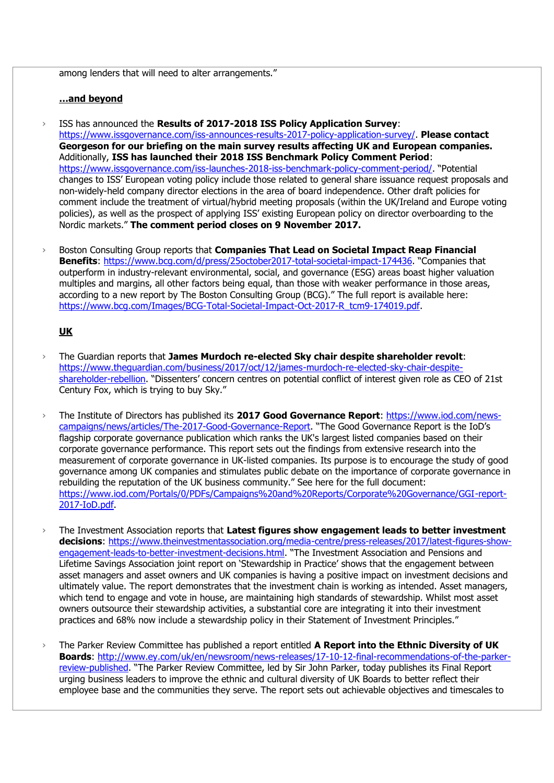among lenders that will need to alter arrangements."

#### **…and beyond**

- › ISS has announced the **Results of 2017-2018 ISS Policy Application Survey**: [https://www.issgovernance.com/iss-announces-results-2017-policy-application-survey/.](https://www.issgovernance.com/iss-announces-results-2017-policy-application-survey/) **Please contact Georgeson for our briefing on the main survey results affecting UK and European companies.** Additionally, **ISS has launched their 2018 ISS Benchmark Policy Comment Period**: <https://www.issgovernance.com/iss-launches-2018-iss-benchmark-policy-comment-period/>. "Potential changes to ISS' European voting policy include those related to general share issuance request proposals and non-widely-held company director elections in the area of board independence. Other draft policies for comment include the treatment of virtual/hybrid meeting proposals (within the UK/Ireland and Europe voting policies), as well as the prospect of applying ISS' existing European policy on director overboarding to the Nordic markets." **The comment period closes on 9 November 2017.**
- Boston Consulting Group reports that **Companies That Lead on Societal Impact Reap Financial Benefits**:<https://www.bcg.com/d/press/25october2017-total-societal-impact-174436>. "Companies that outperform in industry-relevant environmental, social, and governance (ESG) areas boast higher valuation multiples and margins, all other factors being equal, than those with weaker performance in those areas, according to a new report by The Boston Consulting Group (BCG)." The full report is available here: [https://www.bcg.com/Images/BCG-Total-Societal-Impact-Oct-2017-R\\_tcm9-174019.pdf.](https://www.bcg.com/Images/BCG-Total-Societal-Impact-Oct-2017-R_tcm9-174019.pdf)

## **UK**

- › The Guardian reports that **James Murdoch re-elected Sky chair despite shareholder revolt**: [https://www.theguardian.com/business/2017/oct/12/james-murdoch-re-elected-sky-chair-despite](https://www.theguardian.com/business/2017/oct/12/james-murdoch-re-elected-sky-chair-despite-shareholder-rebellion)[shareholder-rebellion](https://www.theguardian.com/business/2017/oct/12/james-murdoch-re-elected-sky-chair-despite-shareholder-rebellion). "Dissenters' concern centres on potential conflict of interest given role as CEO of 21st Century Fox, which is trying to buy Sky."
- › The Institute of Directors has published its **2017 Good Governance Report**: [https://www.iod.com/news](https://www.iod.com/news-campaigns/news/articles/The-2017-Good-Governance-Report)[campaigns/news/articles/The-2017-Good-Governance-Report](https://www.iod.com/news-campaigns/news/articles/The-2017-Good-Governance-Report). "The Good Governance Report is the IoD's flagship corporate governance publication which ranks the UK's largest listed companies based on their corporate governance performance. This report sets out the findings from extensive research into the measurement of corporate governance in UK-listed companies. Its purpose is to encourage the study of good governance among UK companies and stimulates public debate on the importance of corporate governance in rebuilding the reputation of the UK business community." See here for the full document: [https://www.iod.com/Portals/0/PDFs/Campaigns%20and%20Reports/Corporate%20Governance/GGI-report-](https://www.iod.com/Portals/0/PDFs/Campaigns%20and%20Reports/Corporate%20Governance/GGI-report-2017-IoD.pdf)[2017-IoD.pdf.](https://www.iod.com/Portals/0/PDFs/Campaigns%20and%20Reports/Corporate%20Governance/GGI-report-2017-IoD.pdf)
- › The Investment Association reports that **Latest figures show engagement leads to better investment decisions**: [https://www.theinvestmentassociation.org/media-centre/press-releases/2017/latest-figures-show](https://www.theinvestmentassociation.org/media-centre/press-releases/2017/latest-figures-show-engagement-leads-to-better-investment-decisions.html)[engagement-leads-to-better-investment-decisions.html](https://www.theinvestmentassociation.org/media-centre/press-releases/2017/latest-figures-show-engagement-leads-to-better-investment-decisions.html). "The Investment Association and Pensions and Lifetime Savings Association joint report on 'Stewardship in Practice' shows that the engagement between asset managers and asset owners and UK companies is having a positive impact on investment decisions and ultimately value. The report demonstrates that the investment chain is working as intended. Asset managers, which tend to engage and vote in house, are maintaining high standards of stewardship. Whilst most asset owners outsource their stewardship activities, a substantial core are integrating it into their investment practices and 68% now include a stewardship policy in their Statement of Investment Principles."
- › The Parker Review Committee has published a report entitled **A Report into the Ethnic Diversity of UK Boards**: [http://www.ey.com/uk/en/newsroom/news-releases/17-10-12-final-recommendations-of-the-parker](http://www.ey.com/uk/en/newsroom/news-releases/17-10-12-final-recommendations-of-the-parker-review-published)[review-published](http://www.ey.com/uk/en/newsroom/news-releases/17-10-12-final-recommendations-of-the-parker-review-published). "The Parker Review Committee, led by Sir John Parker, today publishes its Final Report urging business leaders to improve the ethnic and cultural diversity of UK Boards to better reflect their employee base and the communities they serve. The report sets out achievable objectives and timescales to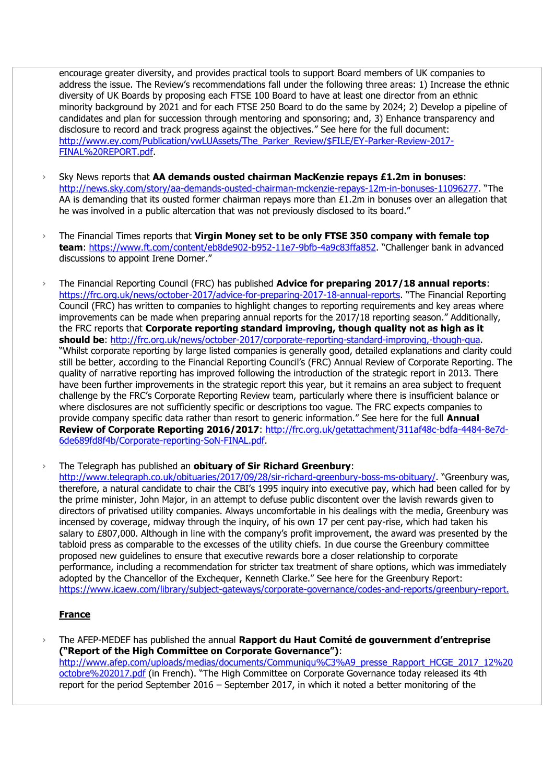encourage greater diversity, and provides practical tools to support Board members of UK companies to address the issue. The Review's recommendations fall under the following three areas: 1) Increase the ethnic diversity of UK Boards by proposing each FTSE 100 Board to have at least one director from an ethnic minority background by 2021 and for each FTSE 250 Board to do the same by 2024; 2) Develop a pipeline of candidates and plan for succession through mentoring and sponsoring; and, 3) Enhance transparency and disclosure to record and track progress against the objectives." See here for the full document: [http://www.ey.com/Publication/vwLUAssets/The\\_Parker\\_Review/\\$FILE/EY-Parker-Review-2017-](http://www.ey.com/Publication/vwLUAssets/The_Parker_Review/$FILE/EY-Parker-Review-2017-FINAL%20REPORT.pdf) [FINAL%20REPORT.pdf.](http://www.ey.com/Publication/vwLUAssets/The_Parker_Review/$FILE/EY-Parker-Review-2017-FINAL%20REPORT.pdf)

- › Sky News reports that **AA demands ousted chairman MacKenzie repays £1.2m in bonuses**: <http://news.sky.com/story/aa-demands-ousted-chairman-mckenzie-repays-12m-in-bonuses-11096277>. "The AA is demanding that its ousted former chairman repays more than  $£1.2m$  in bonuses over an allegation that he was involved in a public altercation that was not previously disclosed to its board."
- › The Financial Times reports that **Virgin Money set to be only FTSE 350 company with female top team**:<https://www.ft.com/content/eb8de902-b952-11e7-9bfb-4a9c83ffa852>. "Challenger bank in advanced discussions to appoint Irene Dorner."
- › The Financial Reporting Council (FRC) has published **Advice for preparing 2017/18 annual reports**: <https://frc.org.uk/news/october-2017/advice-for-preparing-2017-18-annual-reports>. "The Financial Reporting Council (FRC) has written to companies to highlight changes to reporting requirements and key areas where improvements can be made when preparing annual reports for the 2017/18 reporting season." Additionally, the FRC reports that **Corporate reporting standard improving, though quality not as high as it should be**: [http://frc.org.uk/news/october-2017/corporate-reporting-standard-improving,-though-qua.](http://frc.org.uk/news/october-2017/corporate-reporting-standard-improving,-though-qua) "Whilst corporate reporting by large listed companies is generally good, detailed explanations and clarity could still be better, according to the Financial Reporting Council's (FRC) Annual Review of Corporate Reporting. The quality of narrative reporting has improved following the introduction of the strategic report in 2013. There have been further improvements in the strategic report this year, but it remains an area subject to frequent challenge by the FRC's Corporate Reporting Review team, particularly where there is insufficient balance or where disclosures are not sufficiently specific or descriptions too vague. The FRC expects companies to provide company specific data rather than resort to generic information." See here for the full **Annual Review of Corporate Reporting 2016/2017**: [http://frc.org.uk/getattachment/311af48c-bdfa-4484-8e7d-](http://frc.org.uk/getattachment/311af48c-bdfa-4484-8e7d-6de689fd8f4b/Corporate-reporting-SoN-FINAL.pdf)[6de689fd8f4b/Corporate-reporting-SoN-FINAL.pdf.](http://frc.org.uk/getattachment/311af48c-bdfa-4484-8e7d-6de689fd8f4b/Corporate-reporting-SoN-FINAL.pdf)

› The Telegraph has published an **obituary of Sir Richard Greenbury**:

<http://www.telegraph.co.uk/obituaries/2017/09/28/sir-richard-greenbury-boss-ms-obituary/>. "Greenbury was, therefore, a natural candidate to chair the CBI's 1995 inquiry into executive pay, which had been called for by the prime minister, John Major, in an attempt to defuse public discontent over the lavish rewards given to directors of privatised utility companies. Always uncomfortable in his dealings with the media, Greenbury was incensed by coverage, midway through the inquiry, of his own 17 per cent pay-rise, which had taken his salary to £807,000. Although in line with the company's profit improvement, the award was presented by the tabloid press as comparable to the excesses of the utility chiefs. In due course the Greenbury committee proposed new guidelines to ensure that executive rewards bore a closer relationship to corporate performance, including a recommendation for stricter tax treatment of share options, which was immediately adopted by the Chancellor of the Exchequer, Kenneth Clarke." See here for the Greenbury Report: <https://www.icaew.com/library/subject-gateways/corporate-governance/codes-and-reports/greenbury-report.>

# **France**

› The AFEP-MEDEF has published the annual **Rapport du Haut Comité de gouvernment d'entreprise ("Report of the High Committee on Corporate Governance")**: [http://www.afep.com/uploads/medias/documents/Communiqu%C3%A9\\_presse\\_Rapport\\_HCGE\\_2017\\_12%20](http://www.afep.com/uploads/medias/documents/Communiqu%C3%A9_presse_Rapport_HCGE_2017_12%20octobre%202017.pdf) [octobre%202017.pdf](http://www.afep.com/uploads/medias/documents/Communiqu%C3%A9_presse_Rapport_HCGE_2017_12%20octobre%202017.pdf) (in French). "The High Committee on Corporate Governance today released its 4th report for the period September 2016 – September 2017, in which it noted a better monitoring of the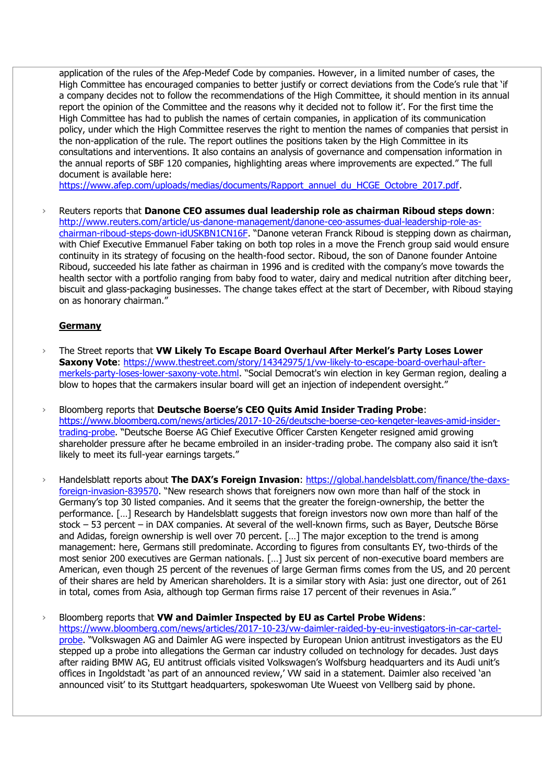application of the rules of the Afep-Medef Code by companies. However, in a limited number of cases, the High Committee has encouraged companies to better justify or correct deviations from the Code's rule that 'if a company decides not to follow the recommendations of the High Committee, it should mention in its annual report the opinion of the Committee and the reasons why it decided not to follow it'. For the first time the High Committee has had to publish the names of certain companies, in application of its communication policy, under which the High Committee reserves the right to mention the names of companies that persist in the non-application of the rule. The report outlines the positions taken by the High Committee in its consultations and interventions. It also contains an analysis of governance and compensation information in the annual reports of SBF 120 companies, highlighting areas where improvements are expected." The full document is available here:

[https://www.afep.com/uploads/medias/documents/Rapport\\_annuel\\_du\\_HCGE\\_Octobre\\_2017.pdf.](https://www.afep.com/uploads/medias/documents/Rapport_annuel_du_HCGE_Octobre_2017.pdf)

› Reuters reports that **Danone CEO assumes dual leadership role as chairman Riboud steps down**: [http://www.reuters.com/article/us-danone-management/danone-ceo-assumes-dual-leadership-role-as](http://www.reuters.com/article/us-danone-management/danone-ceo-assumes-dual-leadership-role-as-chairman-riboud-steps-down-idUSKBN1CN16F)[chairman-riboud-steps-down-idUSKBN1CN16F](http://www.reuters.com/article/us-danone-management/danone-ceo-assumes-dual-leadership-role-as-chairman-riboud-steps-down-idUSKBN1CN16F). "Danone veteran Franck Riboud is stepping down as chairman, with Chief Executive Emmanuel Faber taking on both top roles in a move the French group said would ensure continuity in its strategy of focusing on the health-food sector. Riboud, the son of Danone founder Antoine Riboud, succeeded his late father as chairman in 1996 and is credited with the company's move towards the health sector with a portfolio ranging from baby food to water, dairy and medical nutrition after ditching beer, biscuit and glass-packaging businesses. The change takes effect at the start of December, with Riboud staying on as honorary chairman."

#### **Germany**

- › The Street reports that **VW Likely To Escape Board Overhaul After Merkel's Party Loses Lower Saxony Vote**: [https://www.thestreet.com/story/14342975/1/vw-likely-to-escape-board-overhaul-after](https://www.thestreet.com/story/14342975/1/vw-likely-to-escape-board-overhaul-after-merkels-party-loses-lower-saxony-vote.html)[merkels-party-loses-lower-saxony-vote.html](https://www.thestreet.com/story/14342975/1/vw-likely-to-escape-board-overhaul-after-merkels-party-loses-lower-saxony-vote.html). "Social Democrat's win election in key German region, dealing a blow to hopes that the carmakers insular board will get an injection of independent oversight."
- › Bloomberg reports that **Deutsche Boerse's CEO Quits Amid Insider Trading Probe**: [https://www.bloomberg.com/news/articles/2017-10-26/deutsche-boerse-ceo-kengeter-leaves-amid-insider](https://www.bloomberg.com/news/articles/2017-10-26/deutsche-boerse-ceo-kengeter-leaves-amid-insider-trading-probe)[trading-probe](https://www.bloomberg.com/news/articles/2017-10-26/deutsche-boerse-ceo-kengeter-leaves-amid-insider-trading-probe). "Deutsche Boerse AG Chief Executive Officer Carsten Kengeter resigned amid growing shareholder pressure after he became embroiled in an insider-trading probe. The company also said it isn't likely to meet its full-year earnings targets."
- › Handelsblatt reports about **The DAX's Foreign Invasion**: [https://global.handelsblatt.com/finance/the-daxs](https://global.handelsblatt.com/finance/the-daxs-foreign-invasion-839570)[foreign-invasion-839570](https://global.handelsblatt.com/finance/the-daxs-foreign-invasion-839570). "New research shows that foreigners now own more than half of the stock in Germany's top 30 listed companies. And it seems that the greater the foreign-ownership, the better the performance. […] Research by Handelsblatt suggests that foreign investors now own more than half of the stock – 53 percent – in DAX companies. At several of the well-known firms, such as Bayer, Deutsche Börse and Adidas, foreign ownership is well over 70 percent. […] The major exception to the trend is among management: here, Germans still predominate. According to figures from consultants EY, two-thirds of the most senior 200 executives are German nationals. […] Just six percent of non-executive board members are American, even though 25 percent of the revenues of large German firms comes from the US, and 20 percent of their shares are held by American shareholders. It is a similar story with Asia: just one director, out of 261 in total, comes from Asia, although top German firms raise 17 percent of their revenues in Asia."
- › Bloomberg reports that **VW and Daimler Inspected by EU as Cartel Probe Widens**: [https://www.bloomberg.com/news/articles/2017-10-23/vw-daimler-raided-by-eu-investigators-in-car-cartel](https://www.bloomberg.com/news/articles/2017-10-23/vw-daimler-raided-by-eu-investigators-in-car-cartel-probe)[probe](https://www.bloomberg.com/news/articles/2017-10-23/vw-daimler-raided-by-eu-investigators-in-car-cartel-probe). "Volkswagen AG and Daimler AG were inspected by European Union antitrust investigators as the EU stepped up a probe into allegations the German car industry colluded on technology for decades. Just days after raiding BMW AG, EU antitrust officials visited Volkswagen's Wolfsburg headquarters and its Audi unit's offices in Ingoldstadt 'as part of an announced review,' VW said in a statement. Daimler also received 'an announced visit' to its Stuttgart headquarters, spokeswoman Ute Wueest von Vellberg said by phone.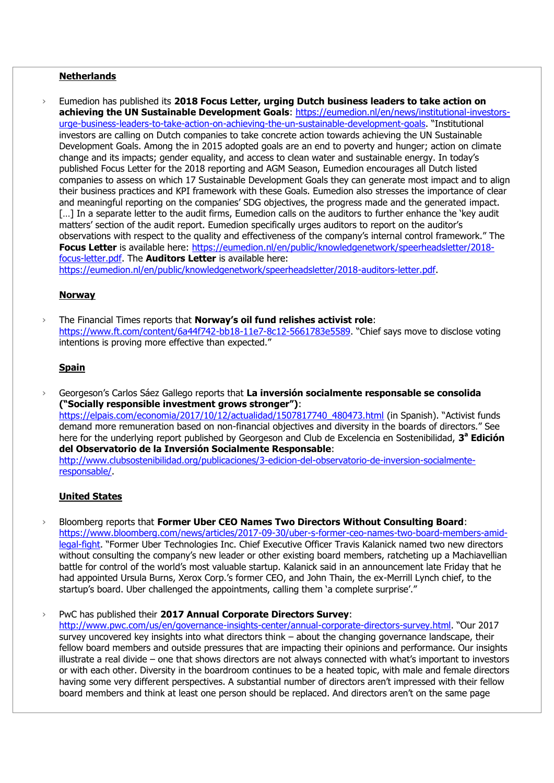#### **Netherlands**

› Eumedion has published its **2018 Focus Letter, urging Dutch business leaders to take action on achieving the UN Sustainable Development Goals**: [https://eumedion.nl/en/news/institutional-investors](https://eumedion.nl/en/news/institutional-investors-urge-business-leaders-to-take-action-on-achieving-the-un-sustainable-development-goals)[urge-business-leaders-to-take-action-on-achieving-the-un-sustainable-development-goals](https://eumedion.nl/en/news/institutional-investors-urge-business-leaders-to-take-action-on-achieving-the-un-sustainable-development-goals). "Institutional investors are calling on Dutch companies to take concrete action towards achieving the UN Sustainable Development Goals. Among the in 2015 adopted goals are an end to poverty and hunger; action on climate change and its impacts; gender equality, and access to clean water and sustainable energy. In today's published Focus Letter for the 2018 reporting and AGM Season, Eumedion encourages all Dutch listed companies to assess on which 17 Sustainable Development Goals they can generate most impact and to align their business practices and KPI framework with these Goals. Eumedion also stresses the importance of clear and meaningful reporting on the companies' SDG objectives, the progress made and the generated impact. [...] In a separate letter to the audit firms, Eumedion calls on the auditors to further enhance the 'key audit matters' section of the audit report. Eumedion specifically urges auditors to report on the auditor's observations with respect to the quality and effectiveness of the company's internal control framework." The Focus Letter is available here: [https://eumedion.nl/en/public/knowledgenetwork/speerheadsletter/2018](https://eumedion.nl/en/public/knowledgenetwork/speerheadsletter/2018-focus-letter.pdf) [focus-letter.pdf.](https://eumedion.nl/en/public/knowledgenetwork/speerheadsletter/2018-focus-letter.pdf) The **Auditors Letter** is available here: [https://eumedion.nl/en/public/knowledgenetwork/speerheadsletter/2018-auditors-letter.pdf.](https://eumedion.nl/en/public/knowledgenetwork/speerheadsletter/2018-auditors-letter.pdf)

## **Norway**

› The Financial Times reports that **Norway's oil fund relishes activist role**: [https://www.ft.com/content/6a44f742-bb18-11e7-8c12-5661783e5589.](https://www.ft.com/content/6a44f742-bb18-11e7-8c12-5661783e5589) "Chief says move to disclose voting intentions is proving more effective than expected."

## **Spain**

› Georgeson's Carlos Sáez Gallego reports that **La inversión socialmente responsable se consolida ("Socially responsible investment grows stronger")**: [https://elpais.com/economia/2017/10/12/actualidad/1507817740\\_480473.html](https://elpais.com/economia/2017/10/12/actualidad/1507817740_480473.html) (in Spanish). "Activist funds demand more remuneration based on non-financial objectives and diversity in the boards of directors." See here for the underlying report published by Georgeson and Club de Excelencia en Sostenibilidad, **3 <sup>a</sup> Edición del Observatorio de la Inversión Socialmente Responsable**: [http://www.clubsostenibilidad.org/publicaciones/3-edicion-del-observatorio-de-inversion-socialmente](http://www.clubsostenibilidad.org/publicaciones/3-edicion-del-observatorio-de-inversion-socialmente-responsable/)[responsable/.](http://www.clubsostenibilidad.org/publicaciones/3-edicion-del-observatorio-de-inversion-socialmente-responsable/)

# **United States**

› Bloomberg reports that **Former Uber CEO Names Two Directors Without Consulting Board**: [https://www.bloomberg.com/news/articles/2017-09-30/uber-s-former-ceo-names-two-board-members-amid](https://www.bloomberg.com/news/articles/2017-09-30/uber-s-former-ceo-names-two-board-members-amid-legal-fight)[legal-fight](https://www.bloomberg.com/news/articles/2017-09-30/uber-s-former-ceo-names-two-board-members-amid-legal-fight). "Former Uber Technologies Inc. Chief Executive Officer Travis Kalanick named two new directors without consulting the company's new leader or other existing board members, ratcheting up a Machiavellian battle for control of the world's most valuable startup. Kalanick said in an announcement late Friday that he had appointed Ursula Burns, Xerox Corp.'s former CEO, and John Thain, the ex-Merrill Lynch chief, to the startup's board. Uber challenged the appointments, calling them 'a complete surprise'."

› PwC has published their **2017 Annual Corporate Directors Survey**:

<http://www.pwc.com/us/en/governance-insights-center/annual-corporate-directors-survey.html>. "Our 2017 survey uncovered key insights into what directors think – about the changing governance landscape, their fellow board members and outside pressures that are impacting their opinions and performance. Our insights illustrate a real divide – one that shows directors are not always connected with what's important to investors or with each other. Diversity in the boardroom continues to be a heated topic, with male and female directors having some very different perspectives. A substantial number of directors aren't impressed with their fellow board members and think at least one person should be replaced. And directors aren't on the same page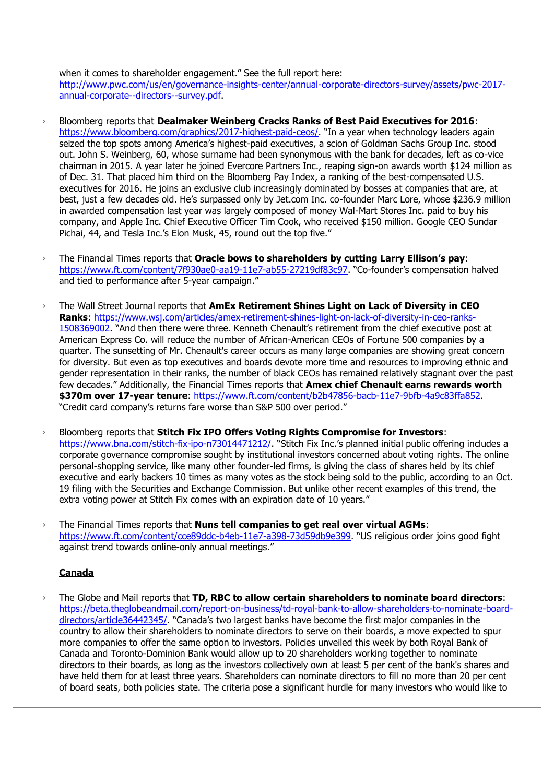when it comes to shareholder engagement." See the full report here: [http://www.pwc.com/us/en/governance-insights-center/annual-corporate-directors-survey/assets/pwc-2017](http://www.pwc.com/us/en/governance-insights-center/annual-corporate-directors-survey/assets/pwc-2017-annual-corporate--directors--survey.pdf) [annual-corporate--directors--survey.pdf.](http://www.pwc.com/us/en/governance-insights-center/annual-corporate-directors-survey/assets/pwc-2017-annual-corporate--directors--survey.pdf)

- › Bloomberg reports that **Dealmaker Weinberg Cracks Ranks of Best Paid Executives for 2016**: <https://www.bloomberg.com/graphics/2017-highest-paid-ceos/>. "In a year when technology leaders again seized the top spots among America's highest-paid executives, a scion of Goldman Sachs Group Inc. stood out. John S. Weinberg, 60, whose surname had been synonymous with the bank for decades, left as co-vice chairman in 2015. A year later he joined Evercore Partners Inc., reaping sign-on awards worth \$124 million as of Dec. 31. That placed him third on the Bloomberg Pay Index, a ranking of the best-compensated U.S. executives for 2016. He joins an exclusive club increasingly dominated by bosses at companies that are, at best, just a few decades old. He's surpassed only by Jet.com Inc. co-founder Marc Lore, whose \$236.9 million in awarded compensation last year was largely composed of money Wal-Mart Stores Inc. paid to buy his company, and Apple Inc. Chief Executive Officer Tim Cook, who received \$150 million. Google CEO Sundar Pichai, 44, and Tesla Inc.'s Elon Musk, 45, round out the top five."
- › The Financial Times reports that **Oracle bows to shareholders by cutting Larry Ellison's pay**: <https://www.ft.com/content/7f930ae0-aa19-11e7-ab55-27219df83c97>. "Co-founder's compensation halved and tied to performance after 5-year campaign."
- › The Wall Street Journal reports that **AmEx Retirement Shines Light on Lack of Diversity in CEO Ranks**: [https://www.wsj.com/articles/amex-retirement-shines-light-on-lack-of-diversity-in-ceo-ranks-](https://www.wsj.com/articles/amex-retirement-shines-light-on-lack-of-diversity-in-ceo-ranks-1508369002)[1508369002](https://www.wsj.com/articles/amex-retirement-shines-light-on-lack-of-diversity-in-ceo-ranks-1508369002). "And then there were three. Kenneth Chenault's retirement from the chief executive post at American Express Co. will reduce the number of African-American CEOs of Fortune 500 companies by a quarter. The sunsetting of Mr. Chenault's career occurs as many large companies are showing great concern for diversity. But even as top executives and boards devote more time and resources to improving ethnic and gender representation in their ranks, the number of black CEOs has remained relatively stagnant over the past few decades." Additionally, the Financial Times reports that **Amex chief Chenault earns rewards worth \$370m over 17-year tenure**: [https://www.ft.com/content/b2b47856-bacb-11e7-9bfb-4a9c83ffa852.](https://www.ft.com/content/b2b47856-bacb-11e7-9bfb-4a9c83ffa852) "Credit card company's returns fare worse than S&P 500 over period."
- › Bloomberg reports that **Stitch Fix IPO Offers Voting Rights Compromise for Investors**: <https://www.bna.com/stitch-fix-ipo-n73014471212/>. "Stitch Fix Inc.'s planned initial public offering includes a corporate governance compromise sought by institutional investors concerned about voting rights. The online personal-shopping service, like many other founder-led firms, is giving the class of shares held by its chief executive and early backers 10 times as many votes as the stock being sold to the public, according to an Oct. 19 filing with the Securities and Exchange Commission. But unlike other recent examples of this trend, the extra voting power at Stitch Fix comes with an expiration date of 10 years."
- › The Financial Times reports that **Nuns tell companies to get real over virtual AGMs**: <https://www.ft.com/content/cce89ddc-b4eb-11e7-a398-73d59db9e399>. "US religious order joins good fight against trend towards online-only annual meetings."

# **Canada**

› The Globe and Mail reports that **TD, RBC to allow certain shareholders to nominate board directors**: [https://beta.theglobeandmail.com/report-on-business/td-royal-bank-to-allow-shareholders-to-nominate-board](https://beta.theglobeandmail.com/report-on-business/td-royal-bank-to-allow-shareholders-to-nominate-board-directors/article36442345/)[directors/article36442345/](https://beta.theglobeandmail.com/report-on-business/td-royal-bank-to-allow-shareholders-to-nominate-board-directors/article36442345/). "Canada's two largest banks have become the first major companies in the country to allow their shareholders to nominate directors to serve on their boards, a move expected to spur more companies to offer the same option to investors. Policies unveiled this week by both Royal Bank of Canada and Toronto-Dominion Bank would allow up to 20 shareholders working together to nominate directors to their boards, as long as the investors collectively own at least 5 per cent of the bank's shares and have held them for at least three years. Shareholders can nominate directors to fill no more than 20 per cent of board seats, both policies state. The criteria pose a significant hurdle for many investors who would like to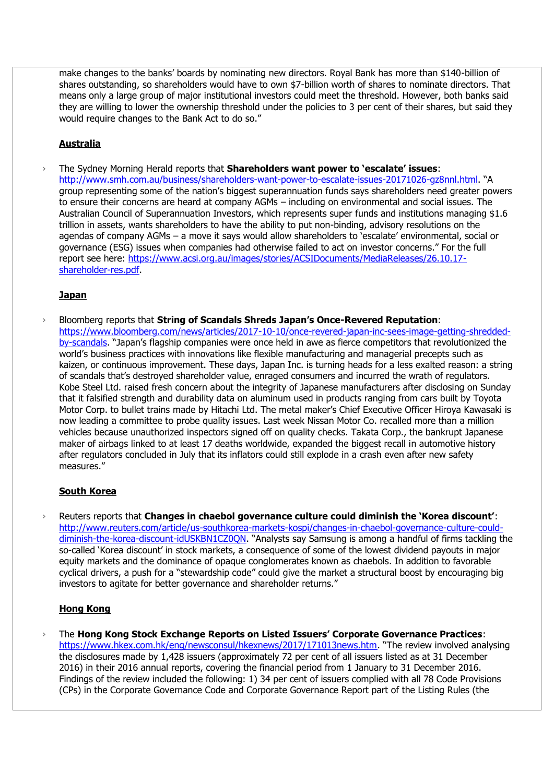make changes to the banks' boards by nominating new directors. Royal Bank has more than \$140-billion of shares outstanding, so shareholders would have to own \$7-billion worth of shares to nominate directors. That means only a large group of major institutional investors could meet the threshold. However, both banks said they are willing to lower the ownership threshold under the policies to 3 per cent of their shares, but said they would require changes to the Bank Act to do so."

# **Australia**

› The Sydney Morning Herald reports that **Shareholders want power to 'escalate' issues**: <http://www.smh.com.au/business/shareholders-want-power-to-escalate-issues-20171026-gz8nnl.html>. "A group representing some of the nation's biggest superannuation funds says shareholders need greater powers to ensure their concerns are heard at company AGMs – including on environmental and social issues. The Australian Council of Superannuation Investors, which represents super funds and institutions managing \$1.6 trillion in assets, wants shareholders to have the ability to put non-binding, advisory resolutions on the agendas of company AGMs – a move it says would allow shareholders to 'escalate' environmental, social or governance (ESG) issues when companies had otherwise failed to act on investor concerns." For the full report see here: [https://www.acsi.org.au/images/stories/ACSIDocuments/MediaReleases/26.10.17](https://www.acsi.org.au/images/stories/ACSIDocuments/MediaReleases/26.10.17-shareholder-res.pdf) [shareholder-res.pdf.](https://www.acsi.org.au/images/stories/ACSIDocuments/MediaReleases/26.10.17-shareholder-res.pdf)

## **Japan**

› Bloomberg reports that **String of Scandals Shreds Japan's Once-Revered Reputation**: [https://www.bloomberg.com/news/articles/2017-10-10/once-revered-japan-inc-sees-image-getting-shredded](https://www.bloomberg.com/news/articles/2017-10-10/once-revered-japan-inc-sees-image-getting-shredded-by-scandals)[by-scandals](https://www.bloomberg.com/news/articles/2017-10-10/once-revered-japan-inc-sees-image-getting-shredded-by-scandals). "Japan's flagship companies were once held in awe as fierce competitors that revolutionized the world's business practices with innovations like flexible manufacturing and managerial precepts such as kaizen, or continuous improvement. These days, Japan Inc. is turning heads for a less exalted reason: a string of scandals that's destroyed shareholder value, enraged consumers and incurred the wrath of regulators. Kobe Steel Ltd. raised fresh concern about the integrity of Japanese manufacturers after disclosing on Sunday that it falsified strength and durability data on aluminum used in products ranging from cars built by Toyota Motor Corp. to bullet trains made by Hitachi Ltd. The metal maker's Chief Executive Officer Hiroya Kawasaki is now leading a committee to probe quality issues. Last week Nissan Motor Co. recalled more than a million vehicles because unauthorized inspectors signed off on quality checks. Takata Corp., the bankrupt Japanese maker of airbags linked to at least 17 deaths worldwide, expanded the biggest recall in automotive history after regulators concluded in July that its inflators could still explode in a crash even after new safety measures."

# **South Korea**

› Reuters reports that **Changes in chaebol governance culture could diminish the 'Korea discount'**: [http://www.reuters.com/article/us-southkorea-markets-kospi/changes-in-chaebol-governance-culture-could](http://www.reuters.com/article/us-southkorea-markets-kospi/changes-in-chaebol-governance-culture-could-diminish-the-korea-discount-idUSKBN1CZ0QN)[diminish-the-korea-discount-idUSKBN1CZ0QN](http://www.reuters.com/article/us-southkorea-markets-kospi/changes-in-chaebol-governance-culture-could-diminish-the-korea-discount-idUSKBN1CZ0QN). "Analysts say Samsung is among a handful of firms tackling the so-called 'Korea discount' in stock markets, a consequence of some of the lowest dividend payouts in major equity markets and the dominance of opaque conglomerates known as chaebols. In addition to favorable cyclical drivers, a push for a "stewardship code" could give the market a structural boost by encouraging big investors to agitate for better governance and shareholder returns."

# **Hong Kong**

› The **Hong Kong Stock Exchange Reports on Listed Issuers' Corporate Governance Practices**: <https://www.hkex.com.hk/eng/newsconsul/hkexnews/2017/171013news.htm>. "The review involved analysing the disclosures made by 1,428 issuers (approximately 72 per cent of all issuers listed as at 31 December 2016) in their 2016 annual reports, covering the financial period from 1 January to 31 December 2016. Findings of the review included the following: 1) 34 per cent of issuers complied with all 78 Code Provisions (CPs) in the Corporate Governance Code and Corporate Governance Report part of the Listing Rules (the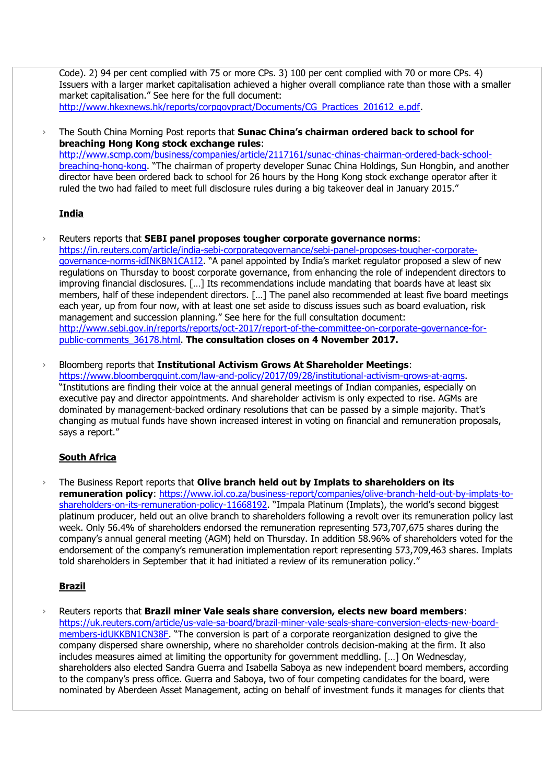Code). 2) 94 per cent complied with 75 or more CPs. 3) 100 per cent complied with 70 or more CPs. 4) Issuers with a larger market capitalisation achieved a higher overall compliance rate than those with a smaller market capitalisation." See here for the full document: [http://www.hkexnews.hk/reports/corpgovpract/Documents/CG\\_Practices\\_201612\\_e.pdf.](http://www.hkexnews.hk/reports/corpgovpract/Documents/CG_Practices_201612_e.pdf)

› The South China Morning Post reports that **Sunac China's chairman ordered back to school for breaching Hong Kong stock exchange rules**: [http://www.scmp.com/business/companies/article/2117161/sunac-chinas-chairman-ordered-back-school](http://www.scmp.com/business/companies/article/2117161/sunac-chinas-chairman-ordered-back-school-breaching-hong-kong)[breaching-hong-kong](http://www.scmp.com/business/companies/article/2117161/sunac-chinas-chairman-ordered-back-school-breaching-hong-kong). "The chairman of property developer Sunac China Holdings, Sun Hongbin, and another director have been ordered back to school for 26 hours by the Hong Kong stock exchange operator after it ruled the two had failed to meet full disclosure rules during a big takeover deal in January 2015."

## **India**

- › Reuters reports that **SEBI panel proposes tougher corporate governance norms**: [https://in.reuters.com/article/india-sebi-corporategovernance/sebi-panel-proposes-tougher-corporate](https://in.reuters.com/article/india-sebi-corporategovernance/sebi-panel-proposes-tougher-corporate-governance-norms-idINKBN1CA1I2)[governance-norms-idINKBN1CA1I2](https://in.reuters.com/article/india-sebi-corporategovernance/sebi-panel-proposes-tougher-corporate-governance-norms-idINKBN1CA1I2). "A panel appointed by India's market regulator proposed a slew of new regulations on Thursday to boost corporate governance, from enhancing the role of independent directors to improving financial disclosures. [...] Its recommendations include mandating that boards have at least six members, half of these independent directors. […] The panel also recommended at least five board meetings each year, up from four now, with at least one set aside to discuss issues such as board evaluation, risk management and succession planning." See here for the full consultation document: [http://www.sebi.gov.in/reports/reports/oct-2017/report-of-the-committee-on-corporate-governance-for](http://www.sebi.gov.in/reports/reports/oct-2017/report-of-the-committee-on-corporate-governance-for-public-comments_36178.html)[public-comments\\_36178.html.](http://www.sebi.gov.in/reports/reports/oct-2017/report-of-the-committee-on-corporate-governance-for-public-comments_36178.html) **The consultation closes on 4 November 2017.**
- › Bloomberg reports that **Institutional Activism Grows At Shareholder Meetings**: [https://www.bloombergquint.com/law-and-policy/2017/09/28/institutional-activism-grows-at-agms.](https://www.bloombergquint.com/law-and-policy/2017/09/28/institutional-activism-grows-at-agms) "Institutions are finding their voice at the annual general meetings of Indian companies, especially on executive pay and director appointments. And shareholder activism is only expected to rise. AGMs are dominated by management-backed ordinary resolutions that can be passed by a simple majority. That's changing as mutual funds have shown increased interest in voting on financial and remuneration proposals, says a report."

# **South Africa**

› The Business Report reports that **Olive branch held out by Implats to shareholders on its remuneration policy**: [https://www.iol.co.za/business-report/companies/olive-branch-held-out-by-implats-to](https://www.iol.co.za/business-report/companies/olive-branch-held-out-by-implats-to-shareholders-on-its-remuneration-policy-11668192)[shareholders-on-its-remuneration-policy-11668192](https://www.iol.co.za/business-report/companies/olive-branch-held-out-by-implats-to-shareholders-on-its-remuneration-policy-11668192). "Impala Platinum (Implats), the world's second biggest platinum producer, held out an olive branch to shareholders following a revolt over its remuneration policy last week. Only 56.4% of shareholders endorsed the remuneration representing 573,707,675 shares during the company's annual general meeting (AGM) held on Thursday. In addition 58.96% of shareholders voted for the endorsement of the company's remuneration implementation report representing 573,709,463 shares. Implats told shareholders in September that it had initiated a review of its remuneration policy."

# **Brazil**

› Reuters reports that **Brazil miner Vale seals share conversion, elects new board members**: [https://uk.reuters.com/article/us-vale-sa-board/brazil-miner-vale-seals-share-conversion-elects-new-board](https://uk.reuters.com/article/us-vale-sa-board/brazil-miner-vale-seals-share-conversion-elects-new-board-members-idUKKBN1CN38F)[members-idUKKBN1CN38F](https://uk.reuters.com/article/us-vale-sa-board/brazil-miner-vale-seals-share-conversion-elects-new-board-members-idUKKBN1CN38F). "The conversion is part of a corporate reorganization designed to give the company dispersed share ownership, where no shareholder controls decision-making at the firm. It also includes measures aimed at limiting the opportunity for government meddling. […] On Wednesday, shareholders also elected Sandra Guerra and Isabella Saboya as new independent board members, according to the company's press office. Guerra and Saboya, two of four competing candidates for the board, were nominated by Aberdeen Asset Management, acting on behalf of investment funds it manages for clients that